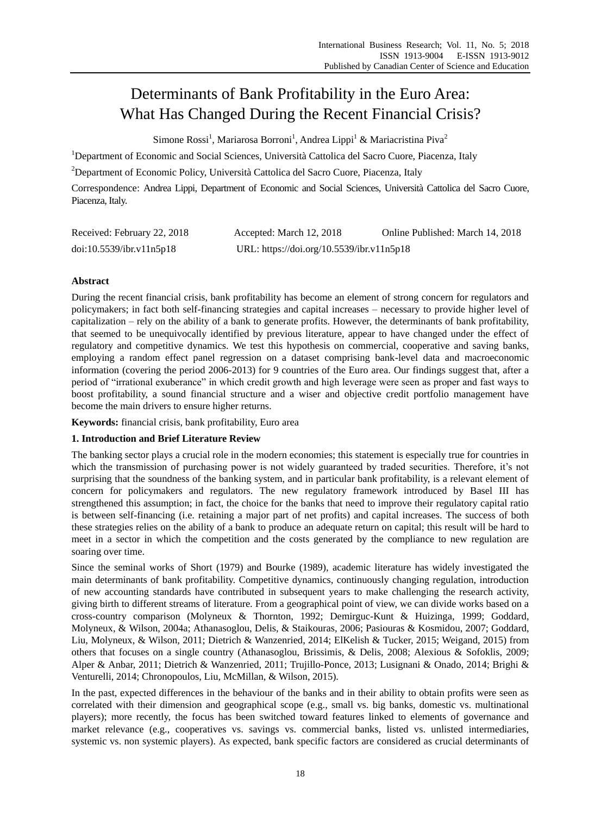# Determinants of Bank Profitability in the Euro Area: What Has Changed During the Recent Financial Crisis?

Simone Rossi<sup>1</sup>, Mariarosa Borroni<sup>1</sup>, Andrea Lippi<sup>1</sup> & Mariacristina Piva<sup>2</sup>

<sup>1</sup>Department of Economic and Social Sciences, Università Cattolica del Sacro Cuore, Piacenza, Italy

<sup>2</sup>Department of Economic Policy, Università Cattolica del Sacro Cuore, Piacenza, Italy

Correspondence: Andrea Lippi, Department of Economic and Social Sciences, Università Cattolica del Sacro Cuore, Piacenza, Italy.

| Received: February 22, 2018 | Accepted: March 12, 2018                  | Online Published: March 14, 2018 |
|-----------------------------|-------------------------------------------|----------------------------------|
| doi:10.5539/ibr.v11n5p18    | URL: https://doi.org/10.5539/ibr.v11n5p18 |                                  |

# **Abstract**

During the recent financial crisis, bank profitability has become an element of strong concern for regulators and policymakers; in fact both self-financing strategies and capital increases – necessary to provide higher level of capitalization – rely on the ability of a bank to generate profits. However, the determinants of bank profitability, that seemed to be unequivocally identified by previous literature, appear to have changed under the effect of regulatory and competitive dynamics. We test this hypothesis on commercial, cooperative and saving banks, employing a random effect panel regression on a dataset comprising bank-level data and macroeconomic information (covering the period 2006-2013) for 9 countries of the Euro area. Our findings suggest that, after a period of "irrational exuberance" in which credit growth and high leverage were seen as proper and fast ways to boost profitability, a sound financial structure and a wiser and objective credit portfolio management have become the main drivers to ensure higher returns.

**Keywords:** financial crisis, bank profitability, Euro area

## **1. Introduction and Brief Literature Review**

The banking sector plays a crucial role in the modern economies; this statement is especially true for countries in which the transmission of purchasing power is not widely guaranteed by traded securities. Therefore, it's not surprising that the soundness of the banking system, and in particular bank profitability, is a relevant element of concern for policymakers and regulators. The new regulatory framework introduced by Basel III has strengthened this assumption; in fact, the choice for the banks that need to improve their regulatory capital ratio is between self-financing (i.e. retaining a major part of net profits) and capital increases. The success of both these strategies relies on the ability of a bank to produce an adequate return on capital; this result will be hard to meet in a sector in which the competition and the costs generated by the compliance to new regulation are soaring over time.

Since the seminal works of Short (1979) and Bourke (1989), academic literature has widely investigated the main determinants of bank profitability. Competitive dynamics, continuously changing regulation, introduction of new accounting standards have contributed in subsequent years to make challenging the research activity, giving birth to different streams of literature. From a geographical point of view, we can divide works based on a cross-country comparison (Molyneux & Thornton, 1992; Demirguc-Kunt & Huizinga, 1999; Goddard, Molyneux, & Wilson, 2004a; Athanasoglou, Delis, & Staikouras, 2006; Pasiouras & Kosmidou, 2007; Goddard, Liu, Molyneux, & Wilson, 2011; Dietrich & Wanzenried, 2014; ElKelish & Tucker, 2015; Weigand, 2015) from others that focuses on a single country (Athanasoglou, Brissimis, & Delis, 2008; Alexious & Sofoklis, 2009; Alper & Anbar, 2011; Dietrich & Wanzenried, 2011; Trujillo-Ponce, 2013; Lusignani & Onado, 2014; Brighi & Venturelli, 2014; Chronopoulos, Liu, McMillan, & Wilson, 2015).

In the past, expected differences in the behaviour of the banks and in their ability to obtain profits were seen as correlated with their dimension and geographical scope (e.g., small vs. big banks, domestic vs. multinational players); more recently, the focus has been switched toward features linked to elements of governance and market relevance (e.g., cooperatives vs. savings vs. commercial banks, listed vs. unlisted intermediaries, systemic vs. non systemic players). As expected, bank specific factors are considered as crucial determinants of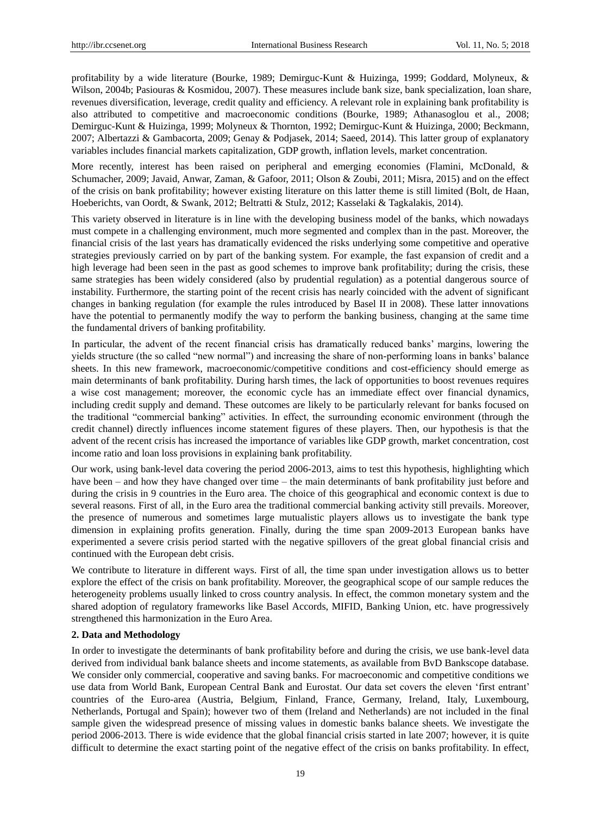profitability by a wide literature (Bourke, 1989; Demirguc-Kunt & Huizinga, 1999; Goddard, Molyneux, & Wilson, 2004b; Pasiouras & Kosmidou, 2007). These measures include bank size, bank specialization, loan share, revenues diversification, leverage, credit quality and efficiency. A relevant role in explaining bank profitability is also attributed to competitive and macroeconomic conditions (Bourke, 1989; Athanasoglou et al., 2008; Demirguc-Kunt & Huizinga, 1999; Molyneux & Thornton, 1992; Demirguc-Kunt & Huizinga, 2000; Beckmann, 2007; Albertazzi & Gambacorta, 2009; Genay & Podjasek, 2014; Saeed, 2014). This latter group of explanatory variables includes financial markets capitalization, GDP growth, inflation levels, market concentration.

More recently, interest has been raised on peripheral and emerging economies (Flamini, McDonald, & Schumacher, 2009; Javaid, Anwar, Zaman, & Gafoor, 2011; Olson & Zoubi, 2011; Misra, 2015) and on the effect of the crisis on bank profitability; however existing literature on this latter theme is still limited (Bolt, de Haan, Hoeberichts, van Oordt, & Swank, 2012; Beltratti & Stulz, 2012; Kasselaki & Tagkalakis, 2014).

This variety observed in literature is in line with the developing business model of the banks, which nowadays must compete in a challenging environment, much more segmented and complex than in the past. Moreover, the financial crisis of the last years has dramatically evidenced the risks underlying some competitive and operative strategies previously carried on by part of the banking system. For example, the fast expansion of credit and a high leverage had been seen in the past as good schemes to improve bank profitability; during the crisis, these same strategies has been widely considered (also by prudential regulation) as a potential dangerous source of instability. Furthermore, the starting point of the recent crisis has nearly coincided with the advent of significant changes in banking regulation (for example the rules introduced by Basel II in 2008). These latter innovations have the potential to permanently modify the way to perform the banking business, changing at the same time the fundamental drivers of banking profitability.

In particular, the advent of the recent financial crisis has dramatically reduced banks' margins, lowering the yields structure (the so called "new normal") and increasing the share of non-performing loans in banks' balance sheets. In this new framework, macroeconomic/competitive conditions and cost-efficiency should emerge as main determinants of bank profitability. During harsh times, the lack of opportunities to boost revenues requires a wise cost management; moreover, the economic cycle has an immediate effect over financial dynamics, including credit supply and demand. These outcomes are likely to be particularly relevant for banks focused on the traditional "commercial banking" activities. In effect, the surrounding economic environment (through the credit channel) directly influences income statement figures of these players. Then, our hypothesis is that the advent of the recent crisis has increased the importance of variables like GDP growth, market concentration, cost income ratio and loan loss provisions in explaining bank profitability.

Our work, using bank-level data covering the period 2006-2013, aims to test this hypothesis, highlighting which have been – and how they have changed over time – the main determinants of bank profitability just before and during the crisis in 9 countries in the Euro area. The choice of this geographical and economic context is due to several reasons. First of all, in the Euro area the traditional commercial banking activity still prevails. Moreover, the presence of numerous and sometimes large mutualistic players allows us to investigate the bank type dimension in explaining profits generation. Finally, during the time span 2009-2013 European banks have experimented a severe crisis period started with the negative spillovers of the great global financial crisis and continued with the European debt crisis.

We contribute to literature in different ways. First of all, the time span under investigation allows us to better explore the effect of the crisis on bank profitability. Moreover, the geographical scope of our sample reduces the heterogeneity problems usually linked to cross country analysis. In effect, the common monetary system and the shared adoption of regulatory frameworks like Basel Accords, MIFID, Banking Union, etc. have progressively strengthened this harmonization in the Euro Area.

## **2. Data and Methodology**

In order to investigate the determinants of bank profitability before and during the crisis, we use bank-level data derived from individual bank balance sheets and income statements, as available from BvD Bankscope database. We consider only commercial, cooperative and saving banks. For macroeconomic and competitive conditions we use data from World Bank, European Central Bank and Eurostat. Our data set covers the eleven 'first entrant' countries of the Euro-area (Austria, Belgium, Finland, France, Germany, Ireland, Italy, Luxembourg, Netherlands, Portugal and Spain); however two of them (Ireland and Netherlands) are not included in the final sample given the widespread presence of missing values in domestic banks balance sheets. We investigate the period 2006-2013. There is wide evidence that the global financial crisis started in late 2007; however, it is quite difficult to determine the exact starting point of the negative effect of the crisis on banks profitability. In effect,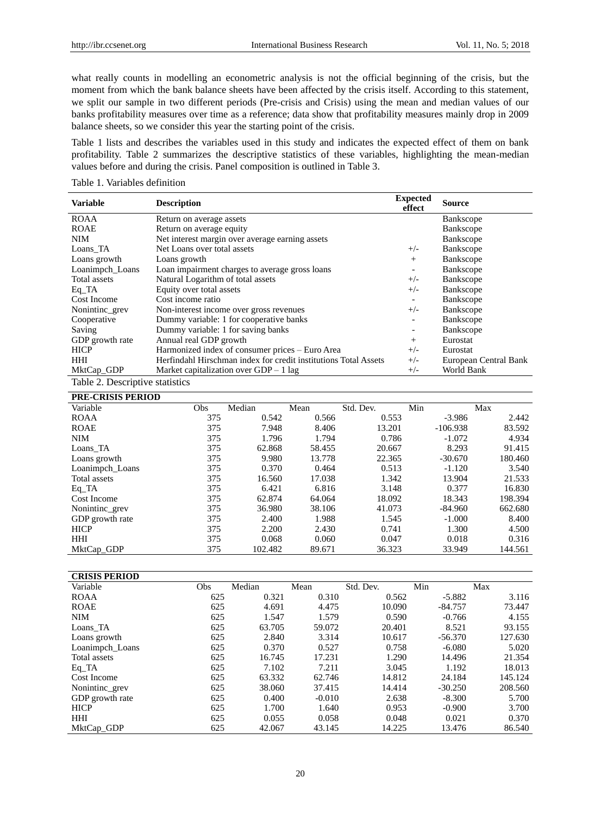what really counts in modelling an econometric analysis is not the official beginning of the crisis, but the moment from which the bank balance sheets have been affected by the crisis itself. According to this statement, we split our sample in two different periods (Pre-crisis and Crisis) using the mean and median values of our banks profitability measures over time as a reference; data show that profitability measures mainly drop in 2009 balance sheets, so we consider this year the starting point of the crisis.

Table 1 lists and describes the variables used in this study and indicates the expected effect of them on bank profitability. Table 2 summarizes the descriptive statistics of these variables, highlighting the mean-median values before and during the crisis. Panel composition is outlined in Table 3.

Table 1. Variables definition

| <b>Variable</b> | <b>Description</b>                                              | <b>Expected</b><br>effect | <b>Source</b>         |
|-----------------|-----------------------------------------------------------------|---------------------------|-----------------------|
| <b>ROAA</b>     | Return on average assets                                        |                           | Bankscope             |
| <b>ROAE</b>     | Return on average equity                                        |                           | Bankscope             |
| NIM             | Net interest margin over average earning assets                 |                           | Bankscope             |
| Loans TA        | Net Loans over total assets                                     | $+/-$                     | Bankscope             |
| Loans growth    | Loans growth                                                    | $^{+}$                    | Bankscope             |
| Loanimpch Loans | Loan impairment charges to average gross loans                  | -                         | Bankscope             |
| Total assets    | Natural Logarithm of total assets                               | $+/-$                     | Bankscope             |
| Eq_TA           | Equity over total assets                                        | $+/-$                     | Bankscope             |
| Cost Income     | Cost income ratio                                               |                           | Bankscope             |
| Nonintinc grev  | Non-interest income over gross revenues                         | $+/-$                     | Bankscope             |
| Cooperative     | Dummy variable: 1 for cooperative banks                         |                           | Bankscope             |
| Saving          | Dummy variable: 1 for saving banks                              |                           | Bankscope             |
| GDP growth rate | Annual real GDP growth                                          | $+$                       | Eurostat              |
| <b>HICP</b>     | Harmonized index of consumer prices - Euro Area                 | $+/-$                     | Eurostat              |
| <b>HHI</b>      | Herfindahl Hirschman index for credit institutions Total Assets | $+/-$                     | European Central Bank |
| MktCap GDP      | Market capitalization over $GDP - 1$ lag                        | $+/-$                     | World Bank            |

Table 2. Descriptive statistics

| Obs | Median  | Mean   | Std. Dev. | Min        | Max     |
|-----|---------|--------|-----------|------------|---------|
| 375 | 0.542   | 0.566  | 0.553     | $-3.986$   | 2.442   |
| 375 | 7.948   | 8.406  | 13.201    | $-106.938$ | 83.592  |
| 375 | 1.796   | 1.794  | 0.786     | $-1.072$   | 4.934   |
| 375 | 62.868  | 58.455 | 20.667    | 8.293      | 91.415  |
| 375 | 9.980   | 13.778 | 22.365    | $-30.670$  | 180.460 |
| 375 | 0.370   | 0.464  | 0.513     | $-1.120$   | 3.540   |
| 375 | 16.560  | 17.038 | 1.342     | 13.904     | 21.533  |
| 375 | 6.421   | 6.816  | 3.148     | 0.377      | 16.830  |
| 375 | 62.874  | 64.064 | 18.092    | 18.343     | 198.394 |
| 375 | 36.980  | 38.106 | 41.073    | $-84.960$  | 662.680 |
| 375 | 2.400   | 1.988  | 1.545     | $-1.000$   | 8.400   |
| 375 | 2.200   | 2.430  | 0.741     | 1.300      | 4.500   |
| 375 | 0.068   | 0.060  | 0.047     | 0.018      | 0.316   |
| 375 | 102.482 | 89.671 | 36.323    | 33.949     | 144.561 |
|     |         |        |           |            |         |

| <b>CRISIS PERIOD</b> |     |        |          |           |           |         |
|----------------------|-----|--------|----------|-----------|-----------|---------|
| Variable             | Obs | Median | Mean     | Std. Dev. | Min       | Max     |
| <b>ROAA</b>          | 625 | 0.321  | 0.310    | 0.562     | $-5.882$  | 3.116   |
| <b>ROAE</b>          | 625 | 4.691  | 4.475    | 10.090    | $-84.757$ | 73.447  |
| <b>NIM</b>           | 625 | 1.547  | 1.579    | 0.590     | $-0.766$  | 4.155   |
| Loans TA             | 625 | 63.705 | 59.072   | 20.401    | 8.521     | 93.155  |
| Loans growth         | 625 | 2.840  | 3.314    | 10.617    | $-56.370$ | 127.630 |
| Loanimpch Loans      | 625 | 0.370  | 0.527    | 0.758     | $-6.080$  | 5.020   |
| Total assets         | 625 | 16.745 | 17.231   | 1.290     | 14.496    | 21.354  |
| $Eq\_TA$             | 625 | 7.102  | 7.211    | 3.045     | 1.192     | 18.013  |
| Cost Income          | 625 | 63.332 | 62.746   | 14.812    | 24.184    | 145.124 |
| Nonintinc_grev       | 625 | 38.060 | 37.415   | 14.414    | $-30.250$ | 208.560 |
| GDP growth rate      | 625 | 0.400  | $-0.010$ | 2.638     | $-8.300$  | 5.700   |
| <b>HICP</b>          | 625 | 1.700  | 1.640    | 0.953     | $-0.900$  | 3.700   |
| <b>HHI</b>           | 625 | 0.055  | 0.058    | 0.048     | 0.021     | 0.370   |
| MktCap_GDP           | 625 | 42.067 | 43.145   | 14.225    | 13.476    | 86.540  |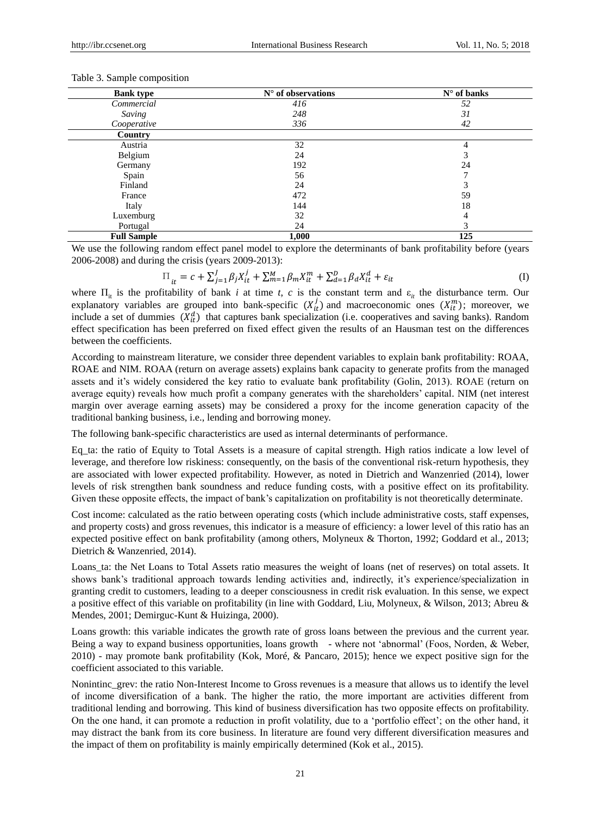| <b>Bank type</b>   | $N^{\circ}$ of observations | $N^{\circ}$ of banks |
|--------------------|-----------------------------|----------------------|
| Commercial         | 416                         | 52                   |
| Saving             | 248                         | 31                   |
| Cooperative        | 336                         | 42                   |
| Country            |                             |                      |
| Austria            | 32                          |                      |
| Belgium            | 24                          | 3                    |
| Germany            | 192                         | 24                   |
| Spain              | 56                          |                      |
| Finland            | 24                          | 3                    |
| France             | 472                         | 59                   |
| Italy              | 144                         | 18                   |
| Luxemburg          | 32                          | 4                    |
| Portugal           | 24                          | 3                    |
| <b>Full Sample</b> | 1,000                       | 125                  |

#### Table 3. Sample composition

We use the following random effect panel model to explore the determinants of bank profitability before (years 2006-2008) and during the crisis (years 2009-2013):

$$
\Pi_{it} = c + \sum_{j=1}^{J} \beta_j X_{it}^j + \sum_{m=1}^{M} \beta_m X_{it}^m + \sum_{d=1}^{D} \beta_d X_{it}^d + \varepsilon_{it}
$$
(I)

where  $\Pi_{it}$  is the profitability of bank *i* at time *t*, *c* is the constant term and  $\varepsilon_{it}$  the disturbance term. Our explanatory variables are grouped into bank-specific  $(X_{it}^j)$  and macroeconomic ones  $(X_{it}^m)$ ; moreover, we include a set of dummies  $(X_{it}^d)$  that captures bank specialization (i.e. cooperatives and saving banks). Random effect specification has been preferred on fixed effect given the results of an Hausman test on the differences between the coefficients.

According to mainstream literature, we consider three dependent variables to explain bank profitability: ROAA, ROAE and NIM. ROAA (return on average assets) explains bank capacity to generate profits from the managed assets and it's widely considered the key ratio to evaluate bank profitability (Golin, 2013). ROAE (return on average equity) reveals how much profit a company generates with the shareholders' capital. NIM (net interest margin over average earning assets) may be considered a proxy for the income generation capacity of the traditional banking business, i.e., lending and borrowing money.

The following bank-specific characteristics are used as internal determinants of performance.

Eq\_ta: the ratio of Equity to Total Assets is a measure of capital strength. High ratios indicate a low level of leverage, and therefore low riskiness: consequently, on the basis of the conventional risk-return hypothesis, they are associated with lower expected profitability. However, as noted in Dietrich and Wanzenried (2014), lower levels of risk strengthen bank soundness and reduce funding costs, with a positive effect on its profitability. Given these opposite effects, the impact of bank's capitalization on profitability is not theoretically determinate.

Cost income: calculated as the ratio between operating costs (which include administrative costs, staff expenses, and property costs) and gross revenues, this indicator is a measure of efficiency: a lower level of this ratio has an expected positive effect on bank profitability (among others, Molyneux & Thorton, 1992; Goddard et al., 2013; Dietrich & Wanzenried, 2014).

Loans\_ta: the Net Loans to Total Assets ratio measures the weight of loans (net of reserves) on total assets. It shows bank's traditional approach towards lending activities and, indirectly, it's experience/specialization in granting credit to customers, leading to a deeper consciousness in credit risk evaluation. In this sense, we expect a positive effect of this variable on profitability (in line with Goddard, Liu, Molyneux, & Wilson, 2013; Abreu & Mendes, 2001; Demirguc-Kunt & Huizinga, 2000).

Loans growth: this variable indicates the growth rate of gross loans between the previous and the current year. Being a way to expand business opportunities, loans growth - where not 'abnormal' (Foos, Norden, & Weber, 2010) - may promote bank profitability (Kok, Moré, & Pancaro, 2015); hence we expect positive sign for the coefficient associated to this variable.

Nonintinc\_grev: the ratio Non-Interest Income to Gross revenues is a measure that allows us to identify the level of income diversification of a bank. The higher the ratio, the more important are activities different from traditional lending and borrowing. This kind of business diversification has two opposite effects on profitability. On the one hand, it can promote a reduction in profit volatility, due to a 'portfolio effect'; on the other hand, it may distract the bank from its core business. In literature are found very different diversification measures and the impact of them on profitability is mainly empirically determined (Kok et al., 2015).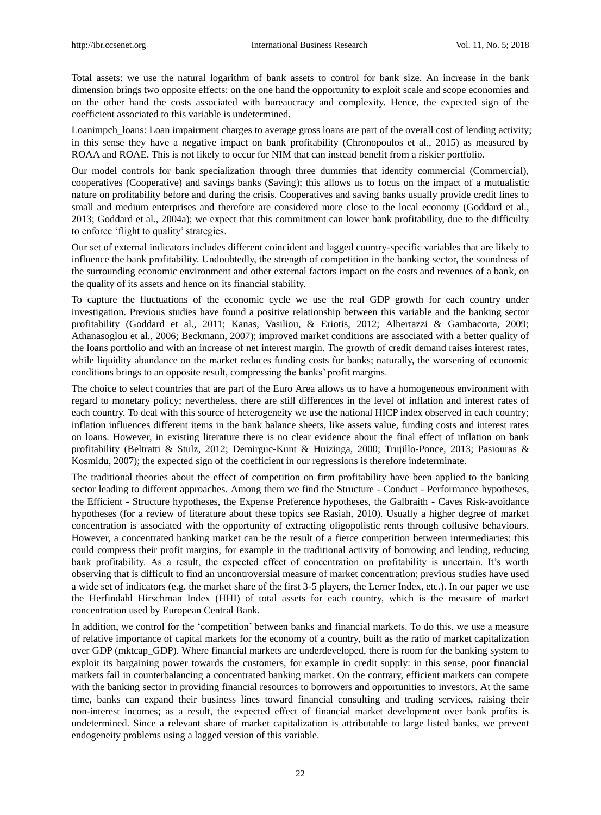Total assets: we use the natural logarithm of bank assets to control for bank size. An increase in the bank dimension brings two opposite effects: on the one hand the opportunity to exploit scale and scope economies and on the other hand the costs associated with bureaucracy and complexity. Hence, the expected sign of the coefficient associated to this variable is undetermined.

Loanimpch loans: Loan impairment charges to average gross loans are part of the overall cost of lending activity; in this sense they have a negative impact on bank profitability (Chronopoulos et al., 2015) as measured by ROAA and ROAE. This is not likely to occur for NIM that can instead benefit from a riskier portfolio.

Our model controls for bank specialization through three dummies that identify commercial (Commercial), cooperatives (Cooperative) and savings banks (Saving); this allows us to focus on the impact of a mutualistic nature on profitability before and during the crisis. Cooperatives and saving banks usually provide credit lines to small and medium enterprises and therefore are considered more close to the local economy (Goddard et al., 2013; Goddard et al., 2004a); we expect that this commitment can lower bank profitability, due to the difficulty to enforce 'flight to quality' strategies.

Our set of external indicators includes different coincident and lagged country-specific variables that are likely to influence the bank profitability. Undoubtedly, the strength of competition in the banking sector, the soundness of the surrounding economic environment and other external factors impact on the costs and revenues of a bank, on the quality of its assets and hence on its financial stability.

To capture the fluctuations of the economic cycle we use the real GDP growth for each country under investigation. Previous studies have found a positive relationship between this variable and the banking sector profitability (Goddard et al., 2011; Kanas, Vasiliou, & Eriotis, 2012; Albertazzi & Gambacorta, 2009; Athanasoglou et al., 2006; Beckmann, 2007); improved market conditions are associated with a better quality of the loans portfolio and with an increase of net interest margin. The growth of credit demand raises interest rates, while liquidity abundance on the market reduces funding costs for banks; naturally, the worsening of economic conditions brings to an opposite result, compressing the banks' profit margins.

The choice to select countries that are part of the Euro Area allows us to have a homogeneous environment with regard to monetary policy; nevertheless, there are still differences in the level of inflation and interest rates of each country. To deal with this source of heterogeneity we use the national HICP index observed in each country; inflation influences different items in the bank balance sheets, like assets value, funding costs and interest rates on loans. However, in existing literature there is no clear evidence about the final effect of inflation on bank profitability (Beltratti & Stulz, 2012; Demirguc-Kunt & Huizinga, 2000; Trujillo-Ponce, 2013; Pasiouras & Kosmidu, 2007); the expected sign of the coefficient in our regressions is therefore indeterminate.

The traditional theories about the effect of competition on firm profitability have been applied to the banking sector leading to different approaches. Among them we find the Structure - Conduct - Performance hypotheses, the Efficient - Structure hypotheses, the Expense Preference hypotheses, the Galbraith - Caves Risk-avoidance hypotheses (for a review of literature about these topics see Rasiah, 2010). Usually a higher degree of market concentration is associated with the opportunity of extracting oligopolistic rents through collusive behaviours. However, a concentrated banking market can be the result of a fierce competition between intermediaries: this could compress their profit margins, for example in the traditional activity of borrowing and lending, reducing bank profitability. As a result, the expected effect of concentration on profitability is uncertain. It's worth observing that is difficult to find an uncontroversial measure of market concentration; previous studies have used a wide set of indicators (e.g. the market share of the first 3-5 players, the Lerner Index, etc.). In our paper we use the Herfindahl Hirschman Index (HHI) of total assets for each country, which is the measure of market concentration used by European Central Bank.

In addition, we control for the 'competition' between banks and financial markets. To do this, we use a measure of relative importance of capital markets for the economy of a country, built as the ratio of market capitalization over GDP (mktcap\_GDP). Where financial markets are underdeveloped, there is room for the banking system to exploit its bargaining power towards the customers, for example in credit supply: in this sense, poor financial markets fail in counterbalancing a concentrated banking market. On the contrary, efficient markets can compete with the banking sector in providing financial resources to borrowers and opportunities to investors. At the same time, banks can expand their business lines toward financial consulting and trading services, raising their non-interest incomes; as a result, the expected effect of financial market development over bank profits is undetermined. Since a relevant share of market capitalization is attributable to large listed banks, we prevent endogeneity problems using a lagged version of this variable.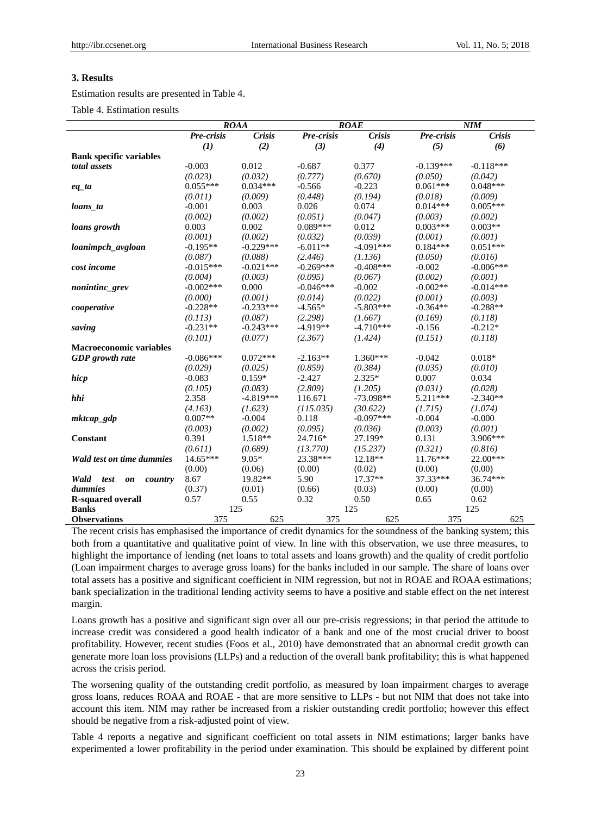## **3. Results**

Estimation results are presented in Table 4.

Table 4. Estimation results

|                                  | <b>ROAA</b> |               | <b>ROAE</b> |               | <b>NIM</b>  |               |
|----------------------------------|-------------|---------------|-------------|---------------|-------------|---------------|
|                                  | Pre-crisis  | <b>Crisis</b> | Pre-crisis  | <b>Crisis</b> | Pre-crisis  | <b>Crisis</b> |
|                                  | (1)         | (2)           | (3)         | (4)           | (5)         | (6)           |
| <b>Bank specific variables</b>   |             |               |             |               |             |               |
| total assets                     | $-0.003$    | 0.012         | $-0.687$    | 0.377         | $-0.139***$ | $-0.118***$   |
|                                  | (0.023)     | (0.032)       | (0.777)     | (0.670)       | (0.050)     | (0.042)       |
| $eq\_ta$                         | $0.055***$  | $0.034***$    | $-0.566$    | $-0.223$      | $0.061***$  | $0.048***$    |
|                                  | (0.011)     | (0.009)       | (0.448)     | (0.194)       | (0.018)     | (0.009)       |
| loans ta                         | $-0.001$    | 0.003         | 0.026       | 0.074         | $0.014***$  | $0.005***$    |
|                                  | (0.002)     | (0.002)       | (0.051)     | (0.047)       | (0.003)     | (0.002)       |
| loans growth                     | 0.003       | 0.002         | $0.089***$  | 0.012         | $0.003***$  | $0.003**$     |
|                                  | (0.001)     | (0.002)       | (0.032)     | (0.039)       | (0.001)     | (0.001)       |
| loanimpch avgloan                | $-0.195**$  | $-0.229***$   | $-6.011**$  | $-4.091***$   | $0.184***$  | $0.051***$    |
|                                  | (0.087)     | (0.088)       | (2.446)     | (1.136)       | (0.050)     | (0.016)       |
| cost income                      | $-0.015***$ | $-0.021***$   | $-0.269***$ | $-0.408***$   | $-0.002$    | $-0.006***$   |
|                                  | (0.004)     | (0.003)       | (0.095)     | (0.067)       | (0.002)     | (0.001)       |
| nonintinc_grev                   | $-0.002***$ | 0.000         | $-0.046***$ | $-0.002$      | $-0.002**$  | $-0.014***$   |
|                                  | (0.000)     | (0.001)       | (0.014)     | (0.022)       | (0.001)     | (0.003)       |
| cooperative                      | $-0.228**$  | $-0.233***$   | $-4.565*$   | $-5.803***$   | $-0.364**$  | $-0.288**$    |
|                                  | (0.113)     | (0.087)       | (2.298)     | (1.667)       | (0.169)     | (0.118)       |
| saving                           | $-0.231**$  | $-0.243***$   | $-4.919**$  | $-4.710***$   | $-0.156$    | $-0.212*$     |
|                                  | (0.101)     | (0.077)       | (2.367)     | (1.424)       | (0.151)     | (0.118)       |
| <b>Macroeconomic variables</b>   |             |               |             |               |             |               |
| <b>GDP</b> growth rate           | $-0.086***$ | $0.072***$    | $-2.163**$  | $1.360***$    | $-0.042$    | $0.018*$      |
|                                  | (0.029)     | (0.025)       | (0.859)     | (0.384)       | (0.035)     | (0.010)       |
| hicp                             | $-0.083$    | $0.159*$      | $-2.427$    | $2.325*$      | 0.007       | 0.034         |
|                                  | (0.105)     | (0.083)       | (2.809)     | (1.205)       | (0.031)     | (0.028)       |
| hhi                              | 2.358       | $-4.819***$   | 116.671     | $-73.098**$   | $5.211***$  | $-2.340**$    |
|                                  | (4.163)     | (1.623)       | (115.035)   | (30.622)      | (1.715)     | (1.074)       |
| mktcap_gdp                       | $0.007**$   | $-0.004$      | 0.118       | $-0.097***$   | $-0.004$    | $-0.000$      |
|                                  | (0.003)     | (0.002)       | (0.095)     | (0.036)       | (0.003)     | (0.001)       |
| Constant                         | 0.391       | $1.518**$     | 24.716*     | 27.199*       | 0.131       | $3.906***$    |
|                                  | (0.611)     | (0.689)       | (13.770)    | (15.237)      | (0.321)     | (0.816)       |
| <b>Wald test on time dummies</b> | $14.65***$  | $9.05*$       | 23.38***    | 12.18**       | $11.76***$  | $22.00***$    |
|                                  | (0.00)      | (0.06)        | (0.00)      | (0.02)        | (0.00)      | (0.00)        |
| Wald<br>test<br>on<br>country    | 8.67        | $19.82**$     | 5.90        | $17.37**$     | 37.33***    | $36.74***$    |
| dummies                          | (0.37)      | (0.01)        | (0.66)      | (0.03)        | (0.00)      | (0.00)        |
| <b>R-squared overall</b>         | 0.57        | 0.55          | 0.32        | 0.50          | 0.65        | 0.62          |
| <b>Banks</b>                     | 125         |               | 125         |               |             | 125           |
| <b>Observations</b>              | 375         | 625           | 375         | 625           | 375         | 625           |

The recent crisis has emphasised the importance of credit dynamics for the soundness of the banking system; this both from a quantitative and qualitative point of view. In line with this observation, we use three measures, to highlight the importance of lending (net loans to total assets and loans growth) and the quality of credit portfolio (Loan impairment charges to average gross loans) for the banks included in our sample. The share of loans over total assets has a positive and significant coefficient in NIM regression, but not in ROAE and ROAA estimations; bank specialization in the traditional lending activity seems to have a positive and stable effect on the net interest margin.

Loans growth has a positive and significant sign over all our pre-crisis regressions; in that period the attitude to increase credit was considered a good health indicator of a bank and one of the most crucial driver to boost profitability. However, recent studies (Foos et al., 2010) have demonstrated that an abnormal credit growth can generate more loan loss provisions (LLPs) and a reduction of the overall bank profitability; this is what happened across the crisis period.

The worsening quality of the outstanding credit portfolio, as measured by loan impairment charges to average gross loans, reduces ROAA and ROAE - that are more sensitive to LLPs - but not NIM that does not take into account this item. NIM may rather be increased from a riskier outstanding credit portfolio; however this effect should be negative from a risk-adjusted point of view.

Table 4 reports a negative and significant coefficient on total assets in NIM estimations; larger banks have experimented a lower profitability in the period under examination. This should be explained by different point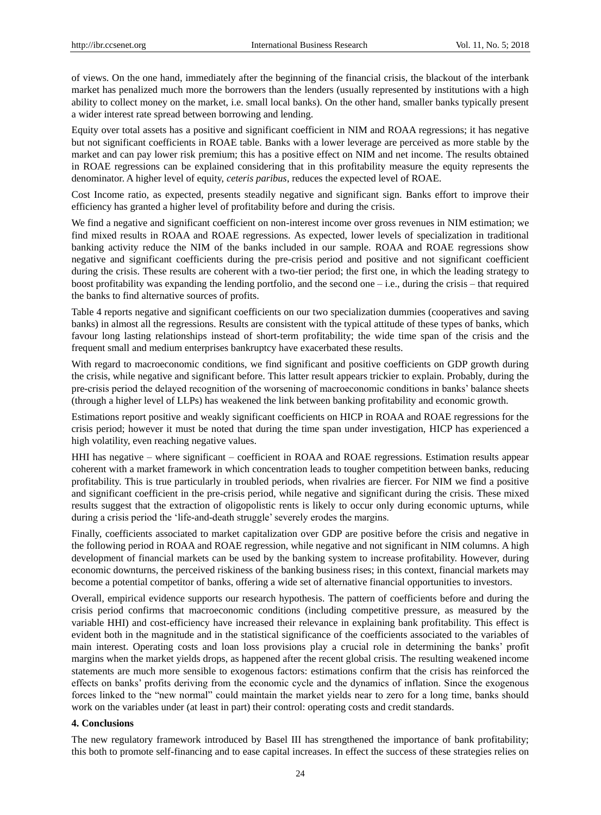of views. On the one hand, immediately after the beginning of the financial crisis, the blackout of the interbank market has penalized much more the borrowers than the lenders (usually represented by institutions with a high ability to collect money on the market, i.e. small local banks). On the other hand, smaller banks typically present a wider interest rate spread between borrowing and lending.

Equity over total assets has a positive and significant coefficient in NIM and ROAA regressions; it has negative but not significant coefficients in ROAE table. Banks with a lower leverage are perceived as more stable by the market and can pay lower risk premium; this has a positive effect on NIM and net income. The results obtained in ROAE regressions can be explained considering that in this profitability measure the equity represents the denominator. A higher level of equity, *ceteris paribus*, reduces the expected level of ROAE.

Cost Income ratio, as expected, presents steadily negative and significant sign. Banks effort to improve their efficiency has granted a higher level of profitability before and during the crisis.

We find a negative and significant coefficient on non-interest income over gross revenues in NIM estimation; we find mixed results in ROAA and ROAE regressions. As expected, lower levels of specialization in traditional banking activity reduce the NIM of the banks included in our sample. ROAA and ROAE regressions show negative and significant coefficients during the pre-crisis period and positive and not significant coefficient during the crisis. These results are coherent with a two-tier period; the first one, in which the leading strategy to boost profitability was expanding the lending portfolio, and the second one – i.e., during the crisis – that required the banks to find alternative sources of profits.

Table 4 reports negative and significant coefficients on our two specialization dummies (cooperatives and saving banks) in almost all the regressions. Results are consistent with the typical attitude of these types of banks, which favour long lasting relationships instead of short-term profitability; the wide time span of the crisis and the frequent small and medium enterprises bankruptcy have exacerbated these results.

With regard to macroeconomic conditions, we find significant and positive coefficients on GDP growth during the crisis, while negative and significant before. This latter result appears trickier to explain. Probably, during the pre-crisis period the delayed recognition of the worsening of macroeconomic conditions in banks' balance sheets (through a higher level of LLPs) has weakened the link between banking profitability and economic growth.

Estimations report positive and weakly significant coefficients on HICP in ROAA and ROAE regressions for the crisis period; however it must be noted that during the time span under investigation, HICP has experienced a high volatility, even reaching negative values.

HHI has negative – where significant – coefficient in ROAA and ROAE regressions. Estimation results appear coherent with a market framework in which concentration leads to tougher competition between banks, reducing profitability. This is true particularly in troubled periods, when rivalries are fiercer. For NIM we find a positive and significant coefficient in the pre-crisis period, while negative and significant during the crisis. These mixed results suggest that the extraction of oligopolistic rents is likely to occur only during economic upturns, while during a crisis period the 'life-and-death struggle' severely erodes the margins.

Finally, coefficients associated to market capitalization over GDP are positive before the crisis and negative in the following period in ROAA and ROAE regression, while negative and not significant in NIM columns. A high development of financial markets can be used by the banking system to increase profitability. However, during economic downturns, the perceived riskiness of the banking business rises; in this context, financial markets may become a potential competitor of banks, offering a wide set of alternative financial opportunities to investors.

Overall, empirical evidence supports our research hypothesis. The pattern of coefficients before and during the crisis period confirms that macroeconomic conditions (including competitive pressure, as measured by the variable HHI) and cost-efficiency have increased their relevance in explaining bank profitability. This effect is evident both in the magnitude and in the statistical significance of the coefficients associated to the variables of main interest. Operating costs and loan loss provisions play a crucial role in determining the banks' profit margins when the market yields drops, as happened after the recent global crisis. The resulting weakened income statements are much more sensible to exogenous factors: estimations confirm that the crisis has reinforced the effects on banks' profits deriving from the economic cycle and the dynamics of inflation. Since the exogenous forces linked to the "new normal" could maintain the market yields near to zero for a long time, banks should work on the variables under (at least in part) their control: operating costs and credit standards.

## **4. Conclusions**

The new regulatory framework introduced by Basel III has strengthened the importance of bank profitability; this both to promote self-financing and to ease capital increases. In effect the success of these strategies relies on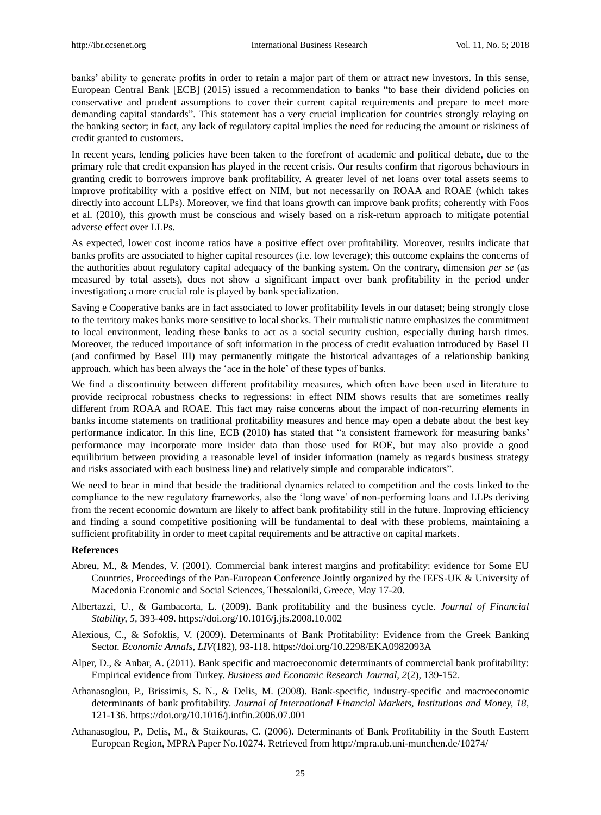banks' ability to generate profits in order to retain a major part of them or attract new investors. In this sense, European Central Bank [ECB] (2015) issued a recommendation to banks "to base their dividend policies on conservative and prudent assumptions to cover their current capital requirements and prepare to meet more demanding capital standards". This statement has a very crucial implication for countries strongly relaying on the banking sector; in fact, any lack of regulatory capital implies the need for reducing the amount or riskiness of credit granted to customers.

In recent years, lending policies have been taken to the forefront of academic and political debate, due to the primary role that credit expansion has played in the recent crisis. Our results confirm that rigorous behaviours in granting credit to borrowers improve bank profitability. A greater level of net loans over total assets seems to improve profitability with a positive effect on NIM, but not necessarily on ROAA and ROAE (which takes directly into account LLPs). Moreover, we find that loans growth can improve bank profits; coherently with Foos et al. (2010), this growth must be conscious and wisely based on a risk-return approach to mitigate potential adverse effect over LLPs.

As expected, lower cost income ratios have a positive effect over profitability. Moreover, results indicate that banks profits are associated to higher capital resources (i.e. low leverage); this outcome explains the concerns of the authorities about regulatory capital adequacy of the banking system. On the contrary, dimension *per se* (as measured by total assets), does not show a significant impact over bank profitability in the period under investigation; a more crucial role is played by bank specialization.

Saving e Cooperative banks are in fact associated to lower profitability levels in our dataset; being strongly close to the territory makes banks more sensitive to local shocks. Their mutualistic nature emphasizes the commitment to local environment, leading these banks to act as a social security cushion, especially during harsh times. Moreover, the reduced importance of soft information in the process of credit evaluation introduced by Basel II (and confirmed by Basel III) may permanently mitigate the historical advantages of a relationship banking approach, which has been always the 'ace in the hole' of these types of banks.

We find a discontinuity between different profitability measures, which often have been used in literature to provide reciprocal robustness checks to regressions: in effect NIM shows results that are sometimes really different from ROAA and ROAE. This fact may raise concerns about the impact of non-recurring elements in banks income statements on traditional profitability measures and hence may open a debate about the best key performance indicator. In this line, ECB (2010) has stated that "a consistent framework for measuring banks' performance may incorporate more insider data than those used for ROE, but may also provide a good equilibrium between providing a reasonable level of insider information (namely as regards business strategy and risks associated with each business line) and relatively simple and comparable indicators".

We need to bear in mind that beside the traditional dynamics related to competition and the costs linked to the compliance to the new regulatory frameworks, also the 'long wave' of non-performing loans and LLPs deriving from the recent economic downturn are likely to affect bank profitability still in the future. Improving efficiency and finding a sound competitive positioning will be fundamental to deal with these problems, maintaining a sufficient profitability in order to meet capital requirements and be attractive on capital markets.

### **References**

- Abreu, M., & Mendes, V. (2001). Commercial bank interest margins and profitability: evidence for Some EU Countries, Proceedings of the Pan-European Conference Jointly organized by the IEFS-UK & University of Macedonia Economic and Social Sciences, Thessaloniki, Greece, May 17-20.
- Albertazzi, U., & Gambacorta, L. (2009). Bank profitability and the business cycle. *Journal of Financial Stability, 5,* 393-409. https://doi.org/10.1016/j.jfs.2008.10.002
- Alexious, C., & Sofoklis, V. (2009). Determinants of Bank Profitability: Evidence from the Greek Banking Sector. *Economic Annals, LIV*(182), 93-118. https://doi.org/10.2298/EKA0982093A
- Alper, D., & Anbar, A. (2011). Bank specific and macroeconomic determinants of commercial bank profitability: Empirical evidence from Turkey. *Business and Economic Research Journal, 2*(2), 139-152.
- Athanasoglou, P., Brissimis, S. N., & Delis, M. (2008). Bank-specific, industry-specific and macroeconomic determinants of bank profitability. *Journal of International Financial Markets, Institutions and Money, 18,*  121-136. https://doi.org/10.1016/j.intfin.2006.07.001
- Athanasoglou, P., Delis, M., & Staikouras, C. (2006). Determinants of Bank Profitability in the South Eastern European Region, MPRA Paper No.10274. Retrieved from http://mpra.ub.uni-munchen.de/10274/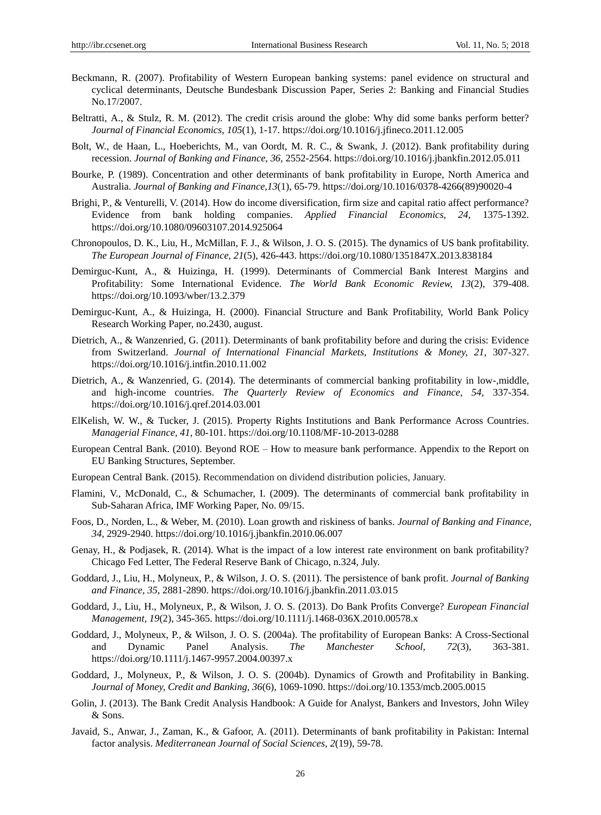- Beckmann, R. (2007). Profitability of Western European banking systems: panel evidence on structural and cyclical determinants, Deutsche Bundesbank Discussion Paper, Series 2: Banking and Financial Studies No.17/2007.
- Beltratti, A., & Stulz, R. M. (2012). The credit crisis around the globe: Why did some banks perform better? *Journal of Financial Economics, 105*(1), 1-17. https://doi.org/10.1016/j.jfineco.2011.12.005
- Bolt, W., de Haan, L., Hoeberichts, M., van Oordt, M. R. C., & Swank, J. (2012). Bank profitability during recession. *Journal of Banking and Finance, 36,* 2552-2564. https://doi.org/10.1016/j.jbankfin.2012.05.011
- Bourke, P. (1989). Concentration and other determinants of bank profitability in Europe, North America and Australia. *Journal of Banking and Finance,13*(1), 65-79. https://doi.org/10.1016/0378-4266(89)90020-4
- Brighi, P., & Venturelli, V. (2014). How do income diversification, firm size and capital ratio affect performance? Evidence from bank holding companies. *Applied Financial Economics, 24,* 1375-1392. https://doi.org/10.1080/09603107.2014.925064
- Chronopoulos, D. K., Liu, H., McMillan, F. J., & Wilson, J. O. S. (2015). The dynamics of US bank profitability. *The European Journal of Finance, 21*(5), 426-443. https://doi.org/10.1080/1351847X.2013.838184
- Demirguc-Kunt, A., & Huizinga, H. (1999). Determinants of Commercial Bank Interest Margins and Profitability: Some International Evidence. *The World Bank Economic Review, 13*(2), 379-408. https://doi.org/10.1093/wber/13.2.379
- Demirguc-Kunt, A., & Huizinga, H. (2000). Financial Structure and Bank Profitability, World Bank Policy Research Working Paper, no.2430, august.
- Dietrich, A., & Wanzenried, G. (2011). Determinants of bank profitability before and during the crisis: Evidence from Switzerland. *Journal of International Financial Markets, Institutions & Money, 21,* 307-327. https://doi.org/10.1016/j.intfin.2010.11.002
- Dietrich, A., & Wanzenried, G. (2014). The determinants of commercial banking profitability in low-,middle, and high-income countries. *The Quarterly Review of Economics and Finance, 54,* 337-354. https://doi.org/10.1016/j.qref.2014.03.001
- ElKelish, W. W., & Tucker, J. (2015). Property Rights Institutions and Bank Performance Across Countries. *Managerial Finance, 41,* 80-101. https://doi.org/10.1108/MF-10-2013-0288
- European Central Bank. (2010). Beyond ROE How to measure bank performance. Appendix to the Report on EU Banking Structures, September.
- European Central Bank. (2015). Recommendation on dividend distribution policies, January.
- Flamini, V., McDonald, C., & Schumacher, I. (2009). The determinants of commercial bank profitability in Sub-Saharan Africa, IMF Working Paper, No. 09/15.
- Foos, D., Norden, L., & Weber, M. (2010). Loan growth and riskiness of banks. *Journal of Banking and Finance, 34,* 2929-2940. https://doi.org/10.1016/j.jbankfin.2010.06.007
- Genay, H., & Podjasek, R. (2014). What is the impact of a low interest rate environment on bank profitability? Chicago Fed Letter, The Federal Reserve Bank of Chicago, n.324, July.
- Goddard, J., Liu, H., Molyneux, P., & Wilson, J. O. S. (2011). The persistence of bank profit. *Journal of Banking and Finance, 35,* 2881-2890. https://doi.org/10.1016/j.jbankfin.2011.03.015
- Goddard, J., Liu, H., Molyneux, P., & Wilson, J. O. S. (2013). Do Bank Profits Converge? *European Financial Management, 19*(2), 345-365. https://doi.org/10.1111/j.1468-036X.2010.00578.x
- Goddard, J., Molyneux, P., & Wilson, J. O. S. (2004a). The profitability of European Banks: A Cross-Sectional and Dynamic Panel Analysis. *The Manchester School, 72*(3), 363-381. https://doi.org/10.1111/j.1467-9957.2004.00397.x
- Goddard, J., Molyneux, P., & Wilson, J. O. S. (2004b). Dynamics of Growth and Profitability in Banking. *Journal of Money, Credit and Banking, 36*(6), 1069-1090. https://doi.org/10.1353/mcb.2005.0015
- Golin, J. (2013). The Bank Credit Analysis Handbook: A Guide for Analyst, Bankers and Investors, John Wiley & Sons.
- Javaid, S., Anwar, J., Zaman, K., & Gafoor, A. (2011). Determinants of bank profitability in Pakistan: Internal factor analysis. *Mediterranean Journal of Social Sciences, 2*(19), 59-78.